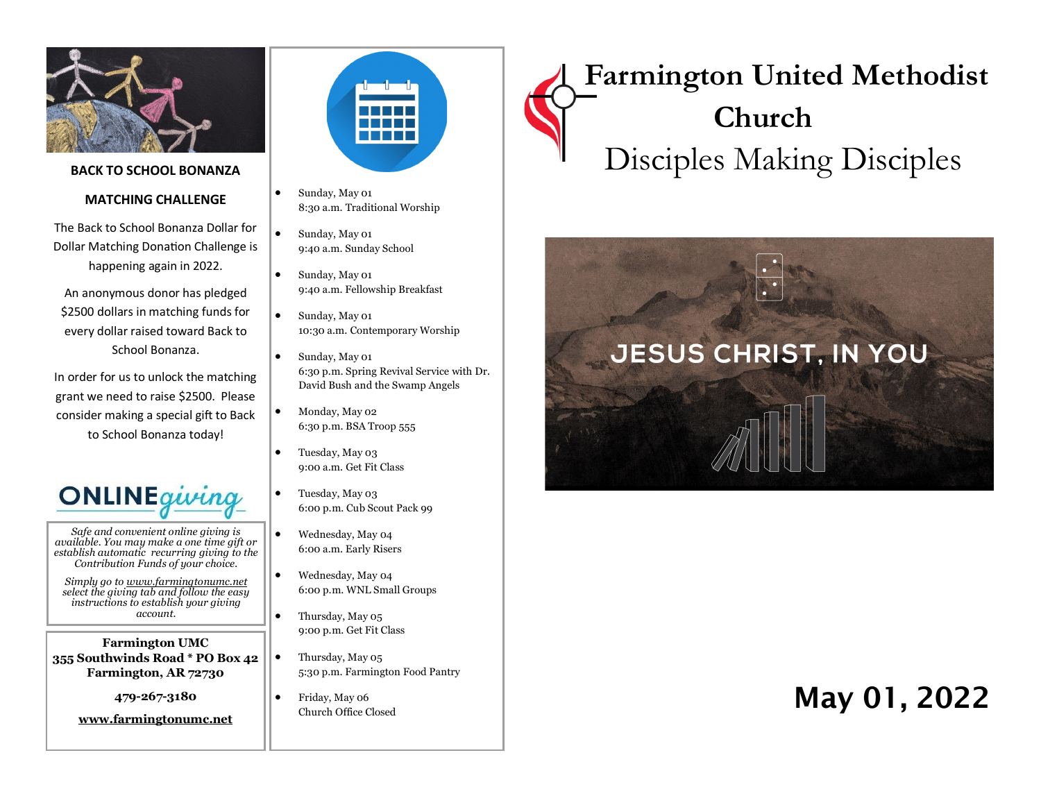

#### **BACK TO SCHOOL BONANZA**

#### **MATCHING CHALLENGE**

The Back to School Bonanza Dollar for Dollar Matching Donation Challenge is happening again in 2022.

An anonymous donor has pledged \$2500 dollars in matching funds for every dollar raised toward Back to School Bonanza.

In order for us to unlock the matching grant we need to raise \$2500. Please consider making a special gift to Back to School Bonanza today!



*Safe and convenient online giving is available. You may make a one time gift or establish automatic recurring giving to the Contribution Funds of your choice.* 

*Simply go to www.farmingtonumc.net select the giving tab and follow the easy instructions to establish your giving account.* 

**Farmington UMC 355 Southwinds Road \* PO Box 42 Farmington, AR 72730**

**479-267-3180** 

**www.farmingtonumc.net** 



- Sunday, May 01 8:30 a.m. Traditional Worship
- Sunday, May 01 9:40 a.m. Sunday School
- Sunday, May 01 9:40 a.m. Fellowship Breakfast
- Sunday, May 01 10:30 a.m. Contemporary Worship
	- Sunday, May 01 6:30 p.m. Spring Revival Service with Dr. David Bush and the Swamp Angels
- Monday, May 02 6:30 p.m. BSA Troop 555
- Tuesday, May 03 9:00 a.m. Get Fit Class
- Tuesday, May 03 6:00 p.m. Cub Scout Pack 99
- Wednesday, May 04 6:00 a.m. Early Risers
- Wednesday, May 04 6:00 p.m. WNL Small Groups
- Thursday, May 05 9:00 p.m. Get Fit Class
- Thursday, May 05 5:30 p.m. Farmington Food Pantry
- Friday, May 06 Church Office Closed

# **Farmington United Methodist Church** Disciples Making Disciples



## May 01, 2022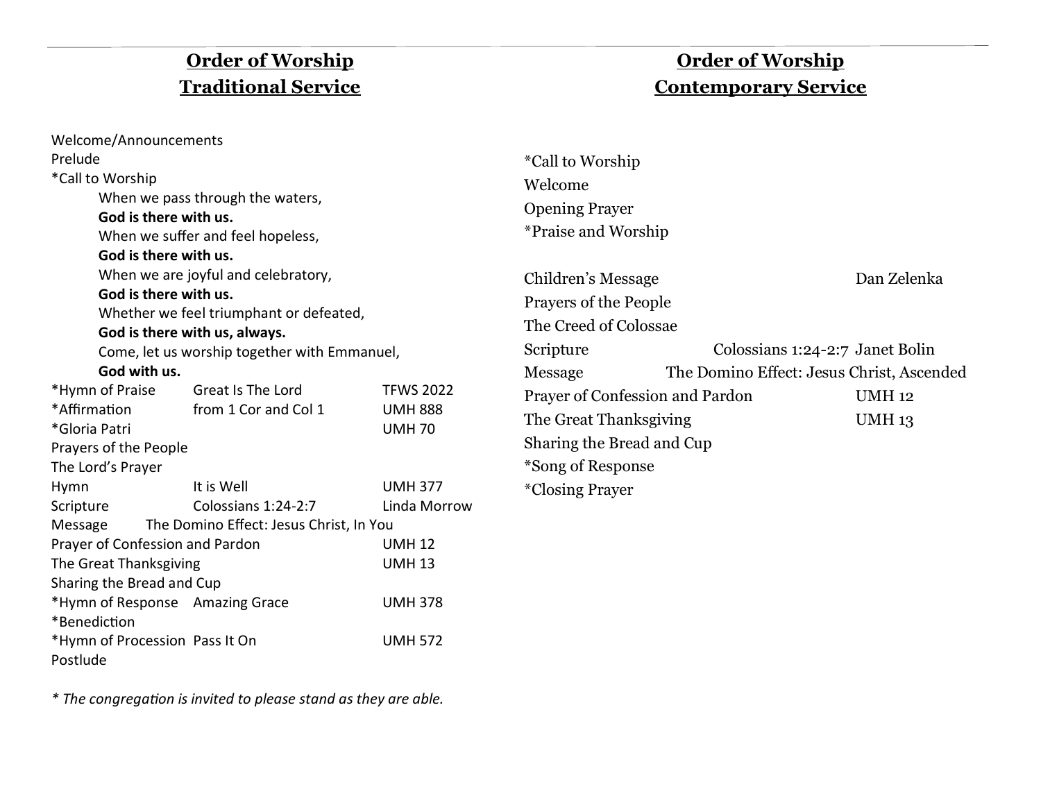## **Order of Worship Traditional Service**

## **Order of Worship Contemporary Service**

| Welcome/Announcements                            |                                         |                  |                            |                                 |                                           |
|--------------------------------------------------|-----------------------------------------|------------------|----------------------------|---------------------------------|-------------------------------------------|
| Prelude                                          |                                         |                  | <i>*Call to Worship</i>    |                                 |                                           |
| *Call to Worship                                 |                                         |                  | Welcome                    |                                 |                                           |
|                                                  | When we pass through the waters,        |                  | <b>Opening Prayer</b>      |                                 |                                           |
| God is there with us.                            |                                         |                  | <i>*Praise and Worship</i> |                                 |                                           |
|                                                  | When we suffer and feel hopeless,       |                  |                            |                                 |                                           |
| God is there with us.                            |                                         |                  |                            |                                 |                                           |
| God is there with us.                            | When we are joyful and celebratory,     |                  | Children's Message         |                                 | Dan Zelenka                               |
|                                                  | Whether we feel triumphant or defeated, |                  | Prayers of the People      |                                 |                                           |
|                                                  | God is there with us, always.           |                  | The Creed of Colossae      |                                 |                                           |
| Come, let us worship together with Emmanuel,     |                                         |                  | Scripture                  |                                 | Colossians 1:24-2:7 Janet Bolin           |
| God with us.                                     |                                         |                  | Message                    |                                 | The Domino Effect: Jesus Christ, Ascended |
| *Hymn of Praise                                  | Great Is The Lord                       | <b>TFWS 2022</b> |                            | Prayer of Confession and Pardon | <b>UMH 12</b>                             |
| *Affirmation                                     | from 1 Cor and Col 1                    | <b>UMH 888</b>   | The Great Thanksgiving     | <b>UMH 13</b>                   |                                           |
| *Gloria Patri                                    |                                         | <b>UMH70</b>     |                            |                                 |                                           |
| Prayers of the People                            |                                         |                  | Sharing the Bread and Cup  |                                 |                                           |
| The Lord's Prayer                                |                                         |                  | *Song of Response          |                                 |                                           |
| <b>Hymn</b>                                      | It is Well                              | <b>UMH 377</b>   | <i>*Closing Prayer</i>     |                                 |                                           |
| Scripture                                        | Colossians 1:24-2:7                     | Linda Morrow     |                            |                                 |                                           |
| Message                                          | The Domino Effect: Jesus Christ, In You |                  |                            |                                 |                                           |
| Prayer of Confession and Pardon<br><b>UMH 12</b> |                                         |                  |                            |                                 |                                           |
| The Great Thanksgiving<br><b>UMH 13</b>          |                                         |                  |                            |                                 |                                           |
| Sharing the Bread and Cup                        |                                         |                  |                            |                                 |                                           |
|                                                  | *Hymn of Response Amazing Grace         | <b>UMH 378</b>   |                            |                                 |                                           |
| *Benediction                                     |                                         |                  |                            |                                 |                                           |
| *Hymn of Procession Pass It On<br><b>UMH 572</b> |                                         |                  |                            |                                 |                                           |
| Postlude                                         |                                         |                  |                            |                                 |                                           |

*\* The congregation is invited to please stand as they are able.*